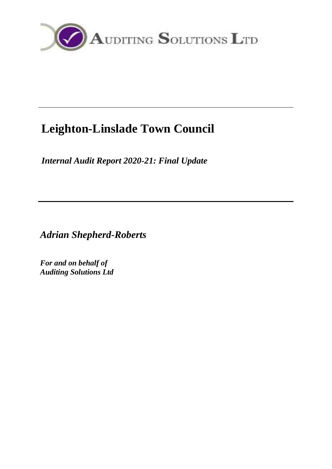

# **Leighton-Linslade Town Council**

*Internal Audit Report 2020-21: Final Update*

*Adrian Shepherd-Roberts*

*For and on behalf of Auditing Solutions Ltd*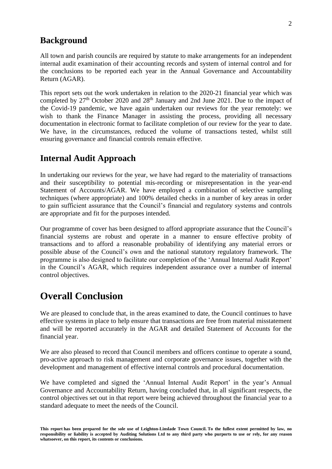### **Background**

All town and parish councils are required by statute to make arrangements for an independent internal audit examination of their accounting records and system of internal control and for the conclusions to be reported each year in the Annual Governance and Accountability Return (AGAR).

This report sets out the work undertaken in relation to the 2020-21 financial year which was completed by 27<sup>th</sup> October 2020 and 28<sup>th</sup> January and 2nd June 2021. Due to the impact of the Covid-19 pandemic, we have again undertaken our reviews for the year remotely: we wish to thank the Finance Manager in assisting the process, providing all necessary documentation in electronic format to facilitate completion of our review for the year to date. We have, in the circumstances, reduced the volume of transactions tested, whilst still ensuring governance and financial controls remain effective.

### **Internal Audit Approach**

In undertaking our reviews for the year, we have had regard to the materiality of transactions and their susceptibility to potential mis-recording or misrepresentation in the year-end Statement of Accounts/AGAR. We have employed a combination of selective sampling techniques (where appropriate) and 100% detailed checks in a number of key areas in order to gain sufficient assurance that the Council's financial and regulatory systems and controls are appropriate and fit for the purposes intended.

Our programme of cover has been designed to afford appropriate assurance that the Council's financial systems are robust and operate in a manner to ensure effective probity of transactions and to afford a reasonable probability of identifying any material errors or possible abuse of the Council's own and the national statutory regulatory framework. The programme is also designed to facilitate our completion of the 'Annual Internal Audit Report' in the Council's AGAR, which requires independent assurance over a number of internal control objectives.

### **Overall Conclusion**

We are pleased to conclude that, in the areas examined to date, the Council continues to have effective systems in place to help ensure that transactions are free from material misstatement and will be reported accurately in the AGAR and detailed Statement of Accounts for the financial year.

We are also pleased to record that Council members and officers continue to operate a sound, pro-active approach to risk management and corporate governance issues, together with the development and management of effective internal controls and procedural documentation.

We have completed and signed the 'Annual Internal Audit Report' in the year's Annual Governance and Accountability Return, having concluded that, in all significant respects, the control objectives set out in that report were being achieved throughout the financial year to a standard adequate to meet the needs of the Council.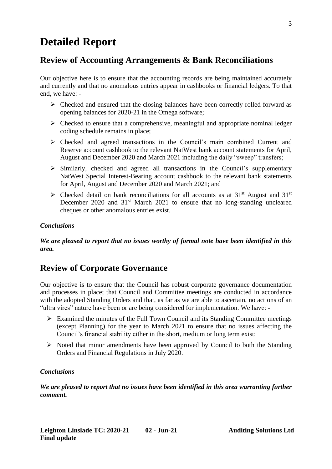## **Detailed Report**

### **Review of Accounting Arrangements & Bank Reconciliations**

Our objective here is to ensure that the accounting records are being maintained accurately and currently and that no anomalous entries appear in cashbooks or financial ledgers. To that end, we have: -

- ➢ Checked and ensured that the closing balances have been correctly rolled forward as opening balances for 2020-21 in the Omega software;
- $\triangleright$  Checked to ensure that a comprehensive, meaningful and appropriate nominal ledger coding schedule remains in place;
- ➢ Checked and agreed transactions in the Council's main combined Current and Reserve account cashbook to the relevant NatWest bank account statements for April, August and December 2020 and March 2021 including the daily "sweep" transfers;
- ➢ Similarly, checked and agreed all transactions in the Council's supplementary NatWest Special Interest-Bearing account cashbook to the relevant bank statements for April, August and December 2020 and March 2021; and
- $\triangleright$  Checked detail on bank reconciliations for all accounts as at 31<sup>st</sup> August and 31<sup>st</sup> December 2020 and  $31<sup>st</sup>$  March 2021 to ensure that no long-standing uncleared cheques or other anomalous entries exist.

#### *Conclusions*

*We are pleased to report that no issues worthy of formal note have been identified in this area.*

### **Review of Corporate Governance**

Our objective is to ensure that the Council has robust corporate governance documentation and processes in place; that Council and Committee meetings are conducted in accordance with the adopted Standing Orders and that, as far as we are able to ascertain, no actions of an "ultra vires" nature have been or are being considered for implementation. We have: -

- ➢ Examined the minutes of the Full Town Council and its Standing Committee meetings (except Planning) for the year to March 2021 to ensure that no issues affecting the Council's financial stability either in the short, medium or long term exist;
- $\triangleright$  Noted that minor amendments have been approved by Council to both the Standing Orders and Financial Regulations in July 2020.

#### *Conclusions*

*We are pleased to report that no issues have been identified in this area warranting further comment.*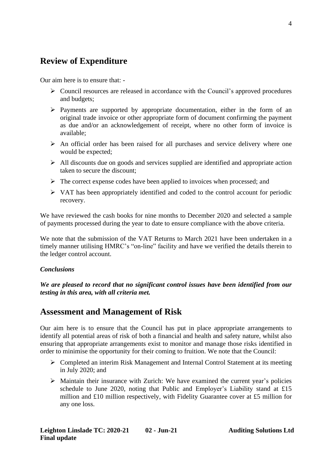### **Review of Expenditure**

Our aim here is to ensure that: -

- ➢ Council resources are released in accordance with the Council's approved procedures and budgets;
- ➢ Payments are supported by appropriate documentation, either in the form of an original trade invoice or other appropriate form of document confirming the payment as due and/or an acknowledgement of receipt, where no other form of invoice is available;
- $\triangleright$  An official order has been raised for all purchases and service delivery where one would be expected;
- $\triangleright$  All discounts due on goods and services supplied are identified and appropriate action taken to secure the discount;
- ➢ The correct expense codes have been applied to invoices when processed; and
- $\triangleright$  VAT has been appropriately identified and coded to the control account for periodic recovery.

We have reviewed the cash books for nine months to December 2020 and selected a sample of payments processed during the year to date to ensure compliance with the above criteria.

We note that the submission of the VAT Returns to March 2021 have been undertaken in a timely manner utilising HMRC's "on-line" facility and have we verified the details therein to the ledger control account.

#### *Conclusions*

*We are pleased to record that no significant control issues have been identified from our testing in this area, with all criteria met.*

### **Assessment and Management of Risk**

Our aim here is to ensure that the Council has put in place appropriate arrangements to identify all potential areas of risk of both a financial and health and safety nature, whilst also ensuring that appropriate arrangements exist to monitor and manage those risks identified in order to minimise the opportunity for their coming to fruition. We note that the Council:

- ➢ Completed an interim Risk Management and Internal Control Statement at its meeting in July 2020; and
- $\triangleright$  Maintain their insurance with Zurich: We have examined the current year's policies schedule to June 2020, noting that Public and Employer's Liability stand at £15 million and £10 million respectively, with Fidelity Guarantee cover at £5 million for any one loss.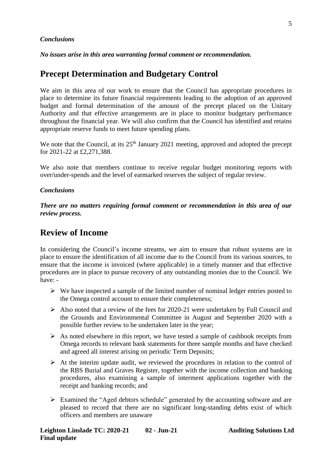#### *Conclusions*

*No issues arise in this area warranting formal comment or recommendation.*

### **Precept Determination and Budgetary Control**

We aim in this area of our work to ensure that the Council has appropriate procedures in place to determine its future financial requirements leading to the adoption of an approved budget and formal determination of the amount of the precept placed on the Unitary Authority and that effective arrangements are in place to monitor budgetary performance throughout the financial year. We will also confirm that the Council has identified and retains appropriate reserve funds to meet future spending plans.

We note that the Council, at its  $25<sup>th</sup>$  January 2021 meeting, approved and adopted the precept for 2021-22 at £2,271,388.

We also note that members continue to receive regular budget monitoring reports with over/under-spends and the level of earmarked reserves the subject of regular review.

#### *Conclusions*

*There are no matters requiring formal comment or recommendation in this area of our review process.*

### **Review of Income**

In considering the Council's income streams, we aim to ensure that robust systems are in place to ensure the identification of all income due to the Council from its various sources, to ensure that the income is invoiced (where applicable) in a timely manner and that effective procedures are in place to pursue recovery of any outstanding monies due to the Council. We have: -

- $\triangleright$  We have inspected a sample of the limited number of nominal ledger entries posted to the Omega control account to ensure their completeness;
- $\triangleright$  Also noted that a review of the fees for 2020-21 were undertaken by Full Council and the Grounds and Environmental Committee in August and September 2020 with a possible further review to be undertaken later in the year;
- $\triangleright$  As noted elsewhere in this report, we have tested a sample of cashbook receipts from Omega records to relevant bank statements for three sample months and have checked and agreed all interest arising on periodic Term Deposits;
- $\triangleright$  At the interim update audit, we reviewed the procedures in relation to the control of the RBS Burial and Graves Register, together with the income collection and banking procedures, also examining a sample of interment applications together with the receipt and banking records; and
- ➢ Examined the "Aged debtors schedule" generated by the accounting software and are pleased to record that there are no significant long-standing debts exist of which officers and members are unaware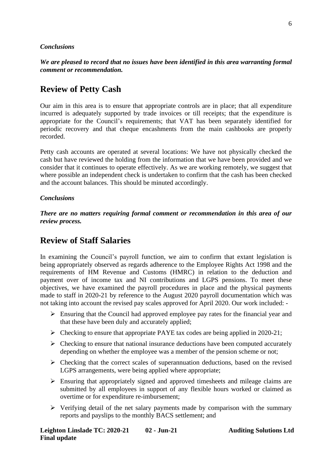#### *Conclusions*

*We are pleased to record that no issues have been identified in this area warranting formal comment or recommendation.*

### **Review of Petty Cash**

Our aim in this area is to ensure that appropriate controls are in place; that all expenditure incurred is adequately supported by trade invoices or till receipts; that the expenditure is appropriate for the Council's requirements; that VAT has been separately identified for periodic recovery and that cheque encashments from the main cashbooks are properly recorded.

Petty cash accounts are operated at several locations: We have not physically checked the cash but have reviewed the holding from the information that we have been provided and we consider that it continues to operate effectively. As we are working remotely, we suggest that where possible an independent check is undertaken to confirm that the cash has been checked and the account balances. This should be minuted accordingly.

#### *Conclusions*

*There are no matters requiring formal comment or recommendation in this area of our review process.*

### **Review of Staff Salaries**

In examining the Council's payroll function, we aim to confirm that extant legislation is being appropriately observed as regards adherence to the Employee Rights Act 1998 and the requirements of HM Revenue and Customs (HMRC) in relation to the deduction and payment over of income tax and NI contributions and LGPS pensions. To meet these objectives, we have examined the payroll procedures in place and the physical payments made to staff in 2020-21 by reference to the August 2020 payroll documentation which was not taking into account the revised pay scales approved for April 2020. Our work included: -

- $\triangleright$  Ensuring that the Council had approved employee pay rates for the financial year and that these have been duly and accurately applied;
- $\triangleright$  Checking to ensure that appropriate PAYE tax codes are being applied in 2020-21;
- $\triangleright$  Checking to ensure that national insurance deductions have been computed accurately depending on whether the employee was a member of the pension scheme or not;
- ➢ Checking that the correct scales of superannuation deductions, based on the revised LGPS arrangements, were being applied where appropriate;
- $\triangleright$  Ensuring that appropriately signed and approved timesheets and mileage claims are submitted by all employees in support of any flexible hours worked or claimed as overtime or for expenditure re-imbursement;
- ➢ Verifying detail of the net salary payments made by comparison with the summary reports and payslips to the monthly BACS settlement; and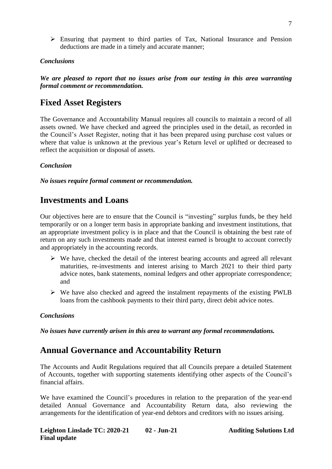➢ Ensuring that payment to third parties of Tax, National Insurance and Pension deductions are made in a timely and accurate manner;

#### *Conclusions*

*We are pleased to report that no issues arise from our testing in this area warranting formal comment or recommendation.*

### **Fixed Asset Registers**

The Governance and Accountability Manual requires all councils to maintain a record of all assets owned. We have checked and agreed the principles used in the detail, as recorded in the Council's Asset Register, noting that it has been prepared using purchase cost values or where that value is unknown at the previous year's Return level or uplifted or decreased to reflect the acquisition or disposal of assets.

#### *Conclusion*

*No issues require formal comment or recommendation.*

### **Investments and Loans**

Our objectives here are to ensure that the Council is "investing" surplus funds, be they held temporarily or on a longer term basis in appropriate banking and investment institutions, that an appropriate investment policy is in place and that the Council is obtaining the best rate of return on any such investments made and that interest earned is brought to account correctly and appropriately in the accounting records.

- ➢ We have, checked the detail of the interest bearing accounts and agreed all relevant maturities, re-investments and interest arising to March 2021 to their third party advice notes, bank statements, nominal ledgers and other appropriate correspondence; and
- ➢ We have also checked and agreed the instalment repayments of the existing PWLB loans from the cashbook payments to their third party, direct debit advice notes.

#### *Conclusions*

*No issues have currently arisen in this area to warrant any formal recommendations.*

### **Annual Governance and Accountability Return**

The Accounts and Audit Regulations required that all Councils prepare a detailed Statement of Accounts, together with supporting statements identifying other aspects of the Council's financial affairs.

We have examined the Council's procedures in relation to the preparation of the year-end detailed Annual Governance and Accountability Return data, also reviewing the arrangements for the identification of year-end debtors and creditors with no issues arising.